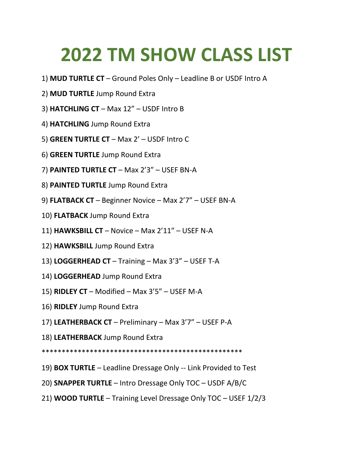## **2022 TM SHOW CLASS LIST**

- 1) **MUD TURTLE CT** Ground Poles Only Leadline B or USDF Intro A
- 2) **MUD TURTLE** Jump Round Extra
- 3) **HATCHLING CT** Max 12" USDF Intro B
- 4) **HATCHLING** Jump Round Extra
- 5) **GREEN TURTLE CT** Max 2' USDF Intro C
- 6) **GREEN TURTLE** Jump Round Extra
- 7) **PAINTED TURTLE CT**  Max 2'3" USEF BN-A
- 8) **PAINTED TURTLE** Jump Round Extra
- 9) **FLATBACK CT** Beginner Novice Max 2'7" USEF BN-A
- 10) **FLATBACK** Jump Round Extra
- 11) **HAWKSBILL CT** Novice Max 2'11" USEF N-A
- 12) **HAWKSBILL** Jump Round Extra
- 13) **LOGGERHEAD CT** Training Max 3'3" USEF T-A
- 14) **LOGGERHEAD** Jump Round Extra
- 15) **RIDLEY CT** Modified Max 3'5" USEF M-A
- 16) **RIDLEY** Jump Round Extra
- 17) **LEATHERBACK CT** Preliminary Max 3'7" USEF P-A
- 18) **LEATHERBACK** Jump Round Extra
- \*\*\*\*\*\*\*\*\*\*\*\*\*\*\*\*\*\*\*\*\*\*\*\*\*\*\*\*\*\*\*\*\*\*\*\*\*\*\*\*\*\*\*\*\*\*\*\*\*\*
- 19) **BOX TURTLE** Leadline Dressage Only -- Link Provided to Test
- 20) **SNAPPER TURTLE** Intro Dressage Only TOC USDF A/B/C
- 21) **WOOD TURTLE** Training Level Dressage Only TOC USEF 1/2/3